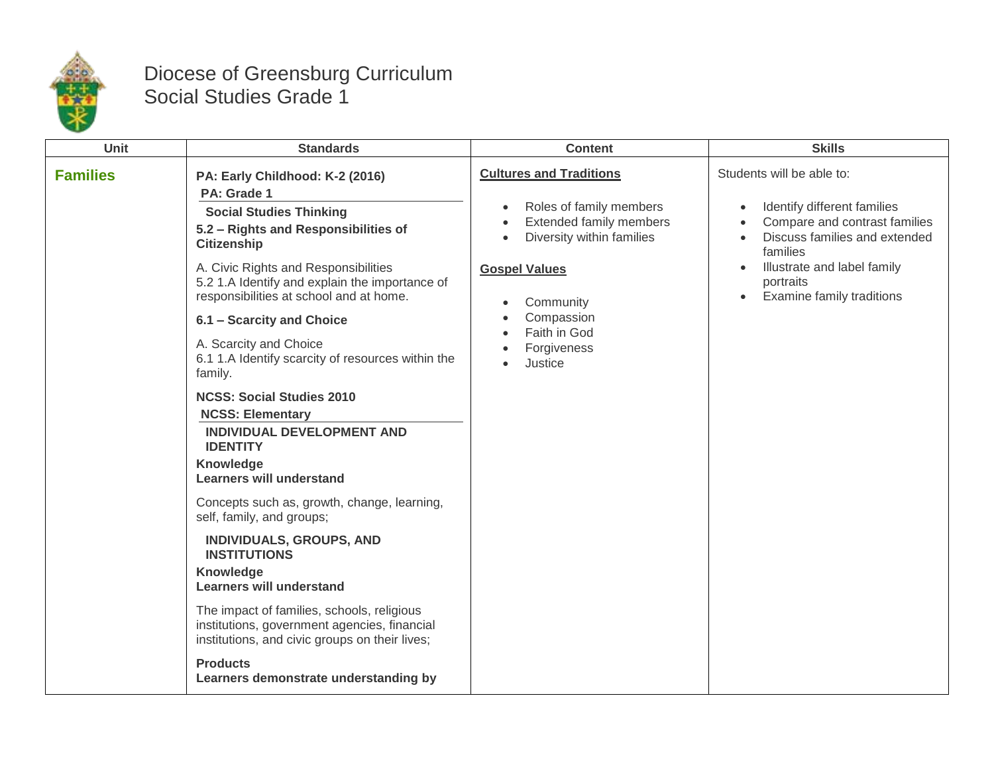

## Diocese of Greensburg Curriculum Social Studies Grade 1

| <b>Unit</b>     | <b>Standards</b>                                                                                                                                                                                                                                                                                                                                                                                                                                                                                                                                                                                                                                                                                                                                                                                                                                                                                                                                                                    | <b>Content</b>                                                                                                                                                                                                              | <b>Skills</b>                                                                                                                                                                                                                       |
|-----------------|-------------------------------------------------------------------------------------------------------------------------------------------------------------------------------------------------------------------------------------------------------------------------------------------------------------------------------------------------------------------------------------------------------------------------------------------------------------------------------------------------------------------------------------------------------------------------------------------------------------------------------------------------------------------------------------------------------------------------------------------------------------------------------------------------------------------------------------------------------------------------------------------------------------------------------------------------------------------------------------|-----------------------------------------------------------------------------------------------------------------------------------------------------------------------------------------------------------------------------|-------------------------------------------------------------------------------------------------------------------------------------------------------------------------------------------------------------------------------------|
| <b>Families</b> | PA: Early Childhood: K-2 (2016)<br>PA: Grade 1<br><b>Social Studies Thinking</b><br>5.2 - Rights and Responsibilities of<br><b>Citizenship</b><br>A. Civic Rights and Responsibilities<br>5.2 1.A Identify and explain the importance of<br>responsibilities at school and at home.<br>6.1 - Scarcity and Choice<br>A. Scarcity and Choice<br>6.1 1.A Identify scarcity of resources within the<br>family.<br><b>NCSS: Social Studies 2010</b><br><b>NCSS: Elementary</b><br><b>INDIVIDUAL DEVELOPMENT AND</b><br><b>IDENTITY</b><br>Knowledge<br><b>Learners will understand</b><br>Concepts such as, growth, change, learning,<br>self, family, and groups;<br>INDIVIDUALS, GROUPS, AND<br><b>INSTITUTIONS</b><br><b>Knowledge</b><br><b>Learners will understand</b><br>The impact of families, schools, religious<br>institutions, government agencies, financial<br>institutions, and civic groups on their lives;<br><b>Products</b><br>Learners demonstrate understanding by | <b>Cultures and Traditions</b><br>Roles of family members<br>Extended family members<br>Diversity within families<br>$\bullet$<br><b>Gospel Values</b><br>Community<br>Compassion<br>Faith in God<br>Forgiveness<br>Justice | Students will be able to:<br>Identify different families<br>Compare and contrast families<br>Discuss families and extended<br>families<br>Illustrate and label family<br>portraits<br><b>Examine family traditions</b><br>$\bullet$ |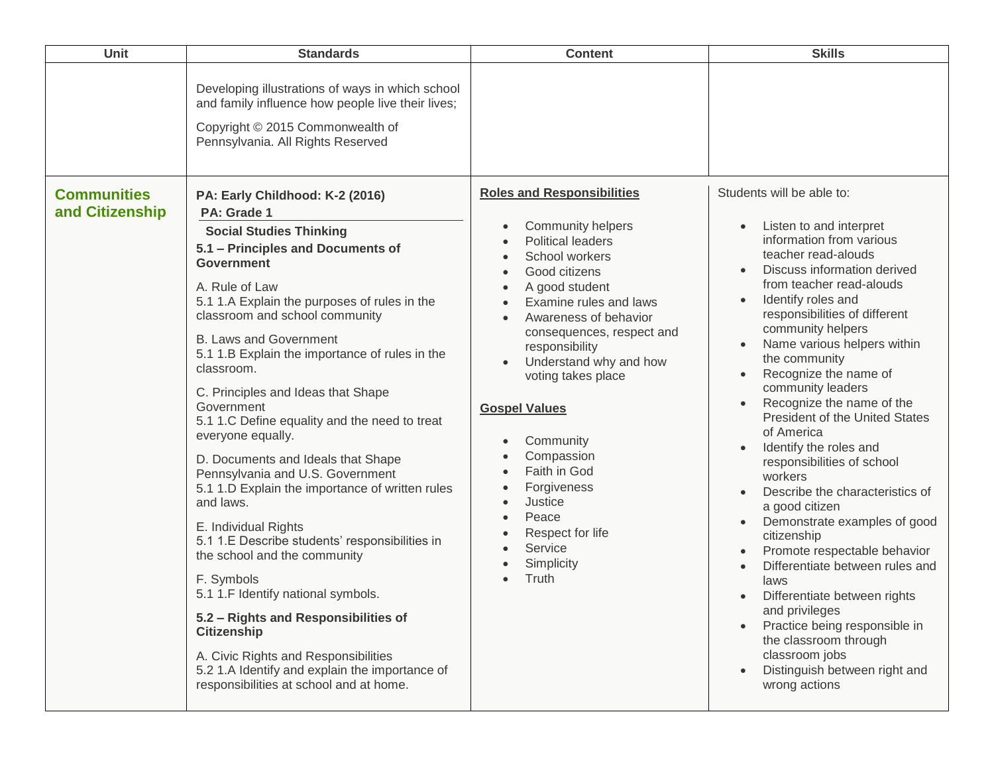| Unit                                  | <b>Standards</b>                                                                                                                                                                                                                                                                                                                                                                                                                                                                                                                                                                            | <b>Content</b>                                                                                                                                                                                                                                                                            | <b>Skills</b>                                                                                                                                                                                                                                                                                                                                                                                                                                                                                                      |
|---------------------------------------|---------------------------------------------------------------------------------------------------------------------------------------------------------------------------------------------------------------------------------------------------------------------------------------------------------------------------------------------------------------------------------------------------------------------------------------------------------------------------------------------------------------------------------------------------------------------------------------------|-------------------------------------------------------------------------------------------------------------------------------------------------------------------------------------------------------------------------------------------------------------------------------------------|--------------------------------------------------------------------------------------------------------------------------------------------------------------------------------------------------------------------------------------------------------------------------------------------------------------------------------------------------------------------------------------------------------------------------------------------------------------------------------------------------------------------|
| <b>Communities</b><br>and Citizenship | Developing illustrations of ways in which school<br>and family influence how people live their lives;<br>Copyright © 2015 Commonwealth of<br>Pennsylvania. All Rights Reserved<br>PA: Early Childhood: K-2 (2016)<br>PA: Grade 1<br><b>Social Studies Thinking</b><br>5.1 - Principles and Documents of<br><b>Government</b><br>A. Rule of Law<br>5.1 1.A Explain the purposes of rules in the<br>classroom and school community<br><b>B. Laws and Government</b><br>5.1 1.B Explain the importance of rules in the<br>classroom.<br>C. Principles and Ideas that Shape                     | <b>Roles and Responsibilities</b><br>Community helpers<br><b>Political leaders</b><br>School workers<br>Good citizens<br>A good student<br>Examine rules and laws<br>Awareness of behavior<br>consequences, respect and<br>responsibility<br>Understand why and how<br>voting takes place | Students will be able to:<br>Listen to and interpret<br>information from various<br>teacher read-alouds<br>Discuss information derived<br>from teacher read-alouds<br>Identify roles and<br>responsibilities of different<br>community helpers<br>Name various helpers within<br>$\bullet$<br>the community<br>Recognize the name of                                                                                                                                                                               |
|                                       | Government<br>5.1 1.C Define equality and the need to treat<br>everyone equally.<br>D. Documents and Ideals that Shape<br>Pennsylvania and U.S. Government<br>5.1 1.D Explain the importance of written rules<br>and laws.<br>E. Individual Rights<br>5.1 1.E Describe students' responsibilities in<br>the school and the community<br>F. Symbols<br>5.1 1.F Identify national symbols.<br>5.2 - Rights and Responsibilities of<br><b>Citizenship</b><br>A. Civic Rights and Responsibilities<br>5.2 1.A Identify and explain the importance of<br>responsibilities at school and at home. | <b>Gospel Values</b><br>Community<br>Compassion<br>Faith in God<br>Forgiveness<br>Justice<br>Peace<br>Respect for life<br>Service<br>Simplicity<br>Truth                                                                                                                                  | Recognize the name of the<br><b>President of the United States</b><br>of America<br>Identify the roles and<br>responsibilities of school<br>workers<br>Describe the characteristics of<br>a good citizen<br>Demonstrate examples of good<br>citizenship<br>Promote respectable behavior<br>Differentiate between rules and<br>laws<br>Differentiate between rights<br>and privileges<br>Practice being responsible in<br>the classroom through<br>classroom jobs<br>Distinguish between right and<br>wrong actions |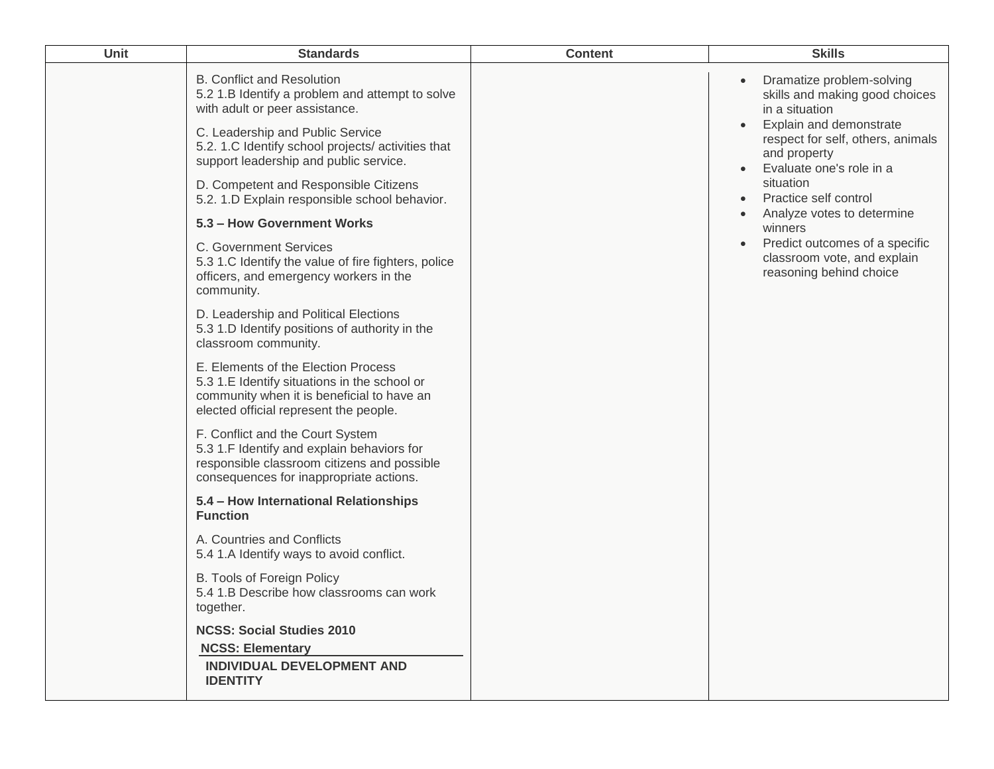| Unit | <b>Standards</b>                                                                                                                                                            | <b>Content</b> | <b>Skills</b>                                                                                            |
|------|-----------------------------------------------------------------------------------------------------------------------------------------------------------------------------|----------------|----------------------------------------------------------------------------------------------------------|
|      | <b>B. Conflict and Resolution</b><br>5.2 1.B Identify a problem and attempt to solve<br>with adult or peer assistance.<br>C. Leadership and Public Service                  |                | Dramatize problem-solving<br>skills and making good choices<br>in a situation<br>Explain and demonstrate |
|      | 5.2. 1.C Identify school projects/activities that<br>support leadership and public service.                                                                                 |                | respect for self, others, animals<br>and property<br>Evaluate one's role in a<br>$\bullet$               |
|      | D. Competent and Responsible Citizens<br>5.2. 1.D Explain responsible school behavior.                                                                                      |                | situation<br>Practice self control<br>$\bullet$<br>Analyze votes to determine<br>$\bullet$               |
|      | 5.3 - How Government Works                                                                                                                                                  |                | winners                                                                                                  |
|      | C. Government Services<br>5.3 1.C Identify the value of fire fighters, police<br>officers, and emergency workers in the<br>community.                                       |                | Predict outcomes of a specific<br>classroom vote, and explain<br>reasoning behind choice                 |
|      | D. Leadership and Political Elections<br>5.3 1.D Identify positions of authority in the<br>classroom community.                                                             |                |                                                                                                          |
|      | E. Elements of the Election Process<br>5.3 1.E Identify situations in the school or<br>community when it is beneficial to have an<br>elected official represent the people. |                |                                                                                                          |
|      | F. Conflict and the Court System<br>5.3 1.F Identify and explain behaviors for<br>responsible classroom citizens and possible<br>consequences for inappropriate actions.    |                |                                                                                                          |
|      | 5.4 - How International Relationships<br><b>Function</b>                                                                                                                    |                |                                                                                                          |
|      | A. Countries and Conflicts<br>5.4 1.A Identify ways to avoid conflict.                                                                                                      |                |                                                                                                          |
|      | B. Tools of Foreign Policy<br>5.4 1.B Describe how classrooms can work<br>together.                                                                                         |                |                                                                                                          |
|      | <b>NCSS: Social Studies 2010</b><br><b>NCSS: Elementary</b>                                                                                                                 |                |                                                                                                          |
|      | <b>INDIVIDUAL DEVELOPMENT AND</b><br><b>IDENTITY</b>                                                                                                                        |                |                                                                                                          |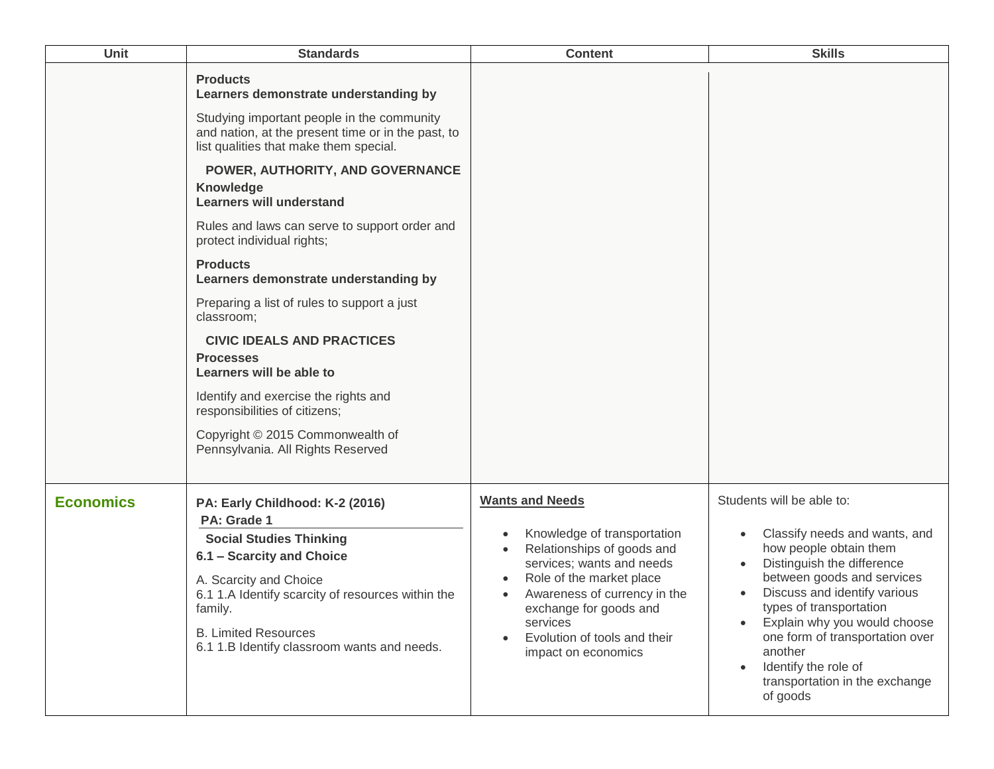| Unit             | <b>Standards</b>                                                                                                                                                                                                                                                                                                                                                                                                                                                                                                                                                                                                                                                                                                                                 | <b>Content</b>                                                                                                                                                                                                                                                            | <b>Skills</b>                                                                                                                                                                                                                                                                                                                                                   |
|------------------|--------------------------------------------------------------------------------------------------------------------------------------------------------------------------------------------------------------------------------------------------------------------------------------------------------------------------------------------------------------------------------------------------------------------------------------------------------------------------------------------------------------------------------------------------------------------------------------------------------------------------------------------------------------------------------------------------------------------------------------------------|---------------------------------------------------------------------------------------------------------------------------------------------------------------------------------------------------------------------------------------------------------------------------|-----------------------------------------------------------------------------------------------------------------------------------------------------------------------------------------------------------------------------------------------------------------------------------------------------------------------------------------------------------------|
|                  | <b>Products</b><br>Learners demonstrate understanding by<br>Studying important people in the community<br>and nation, at the present time or in the past, to<br>list qualities that make them special.<br>POWER, AUTHORITY, AND GOVERNANCE<br><b>Knowledge</b><br><b>Learners will understand</b><br>Rules and laws can serve to support order and<br>protect individual rights;<br><b>Products</b><br>Learners demonstrate understanding by<br>Preparing a list of rules to support a just<br>classroom;<br><b>CIVIC IDEALS AND PRACTICES</b><br><b>Processes</b><br>Learners will be able to<br>Identify and exercise the rights and<br>responsibilities of citizens;<br>Copyright © 2015 Commonwealth of<br>Pennsylvania. All Rights Reserved |                                                                                                                                                                                                                                                                           |                                                                                                                                                                                                                                                                                                                                                                 |
| <b>Economics</b> | PA: Early Childhood: K-2 (2016)<br>PA: Grade 1<br><b>Social Studies Thinking</b><br>6.1 - Scarcity and Choice<br>A. Scarcity and Choice<br>6.1 1.A Identify scarcity of resources within the<br>family.<br><b>B. Limited Resources</b><br>6.1 1.B Identify classroom wants and needs.                                                                                                                                                                                                                                                                                                                                                                                                                                                            | <b>Wants and Needs</b><br>Knowledge of transportation<br>Relationships of goods and<br>services; wants and needs<br>Role of the market place<br>Awareness of currency in the<br>exchange for goods and<br>services<br>Evolution of tools and their<br>impact on economics | Students will be able to:<br>Classify needs and wants, and<br>how people obtain them<br>Distinguish the difference<br>between goods and services<br>Discuss and identify various<br>types of transportation<br>Explain why you would choose<br>one form of transportation over<br>another<br>Identify the role of<br>transportation in the exchange<br>of goods |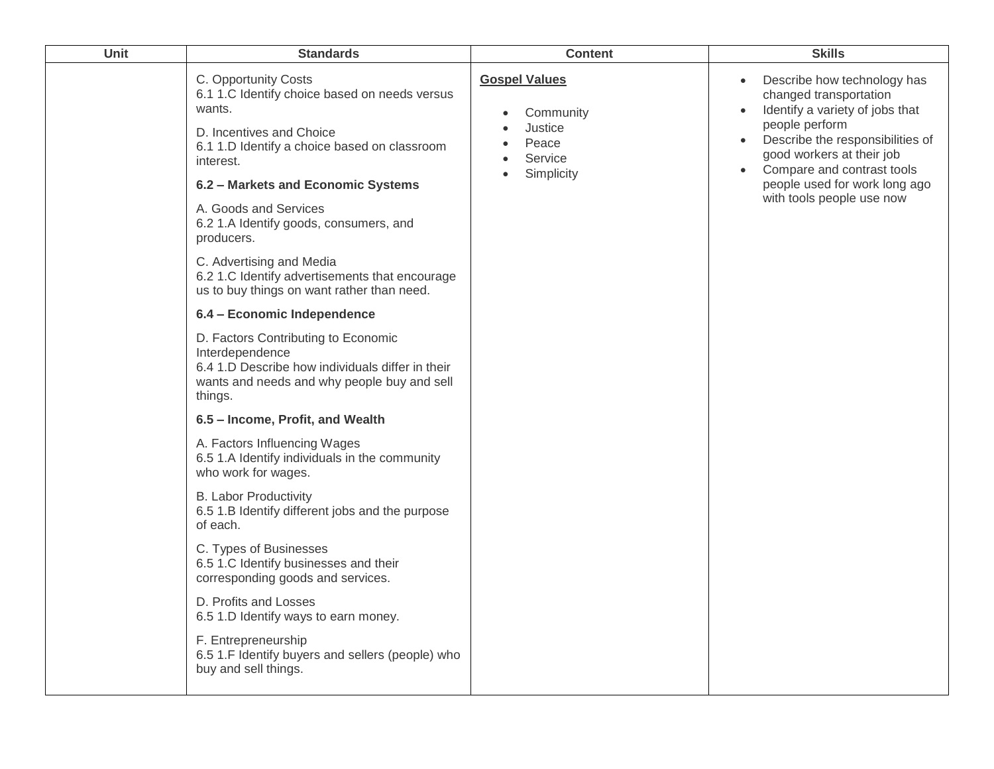| Unit | <b>Standards</b>                                                                                                                                                         | <b>Content</b>                                                   | <b>Skills</b>                                                                                                                                                                                                      |
|------|--------------------------------------------------------------------------------------------------------------------------------------------------------------------------|------------------------------------------------------------------|--------------------------------------------------------------------------------------------------------------------------------------------------------------------------------------------------------------------|
|      | C. Opportunity Costs<br>6.1 1.C Identify choice based on needs versus<br>wants.<br>D. Incentives and Choice<br>6.1 1.D Identify a choice based on classroom<br>interest. | <b>Gospel Values</b><br>Community<br>Justice<br>Peace<br>Service | Describe how technology has<br>$\bullet$<br>changed transportation<br>Identify a variety of jobs that<br>$\bullet$<br>people perform<br>Describe the responsibilities of<br>$\bullet$<br>good workers at their job |
|      | 6.2 - Markets and Economic Systems                                                                                                                                       | Simplicity                                                       | Compare and contrast tools<br>people used for work long ago                                                                                                                                                        |
|      | A. Goods and Services<br>6.2 1.A Identify goods, consumers, and<br>producers.                                                                                            |                                                                  | with tools people use now                                                                                                                                                                                          |
|      | C. Advertising and Media<br>6.2 1.C Identify advertisements that encourage<br>us to buy things on want rather than need.                                                 |                                                                  |                                                                                                                                                                                                                    |
|      | 6.4 - Economic Independence                                                                                                                                              |                                                                  |                                                                                                                                                                                                                    |
|      | D. Factors Contributing to Economic<br>Interdependence<br>6.4 1.D Describe how individuals differ in their<br>wants and needs and why people buy and sell<br>things.     |                                                                  |                                                                                                                                                                                                                    |
|      | 6.5 - Income, Profit, and Wealth                                                                                                                                         |                                                                  |                                                                                                                                                                                                                    |
|      | A. Factors Influencing Wages<br>6.5 1.A Identify individuals in the community<br>who work for wages.                                                                     |                                                                  |                                                                                                                                                                                                                    |
|      | <b>B. Labor Productivity</b><br>6.5 1.B Identify different jobs and the purpose<br>of each.                                                                              |                                                                  |                                                                                                                                                                                                                    |
|      | C. Types of Businesses<br>6.5 1.C Identify businesses and their<br>corresponding goods and services.                                                                     |                                                                  |                                                                                                                                                                                                                    |
|      | D. Profits and Losses<br>6.5 1.D Identify ways to earn money.                                                                                                            |                                                                  |                                                                                                                                                                                                                    |
|      | F. Entrepreneurship<br>6.5 1.F Identify buyers and sellers (people) who<br>buy and sell things.                                                                          |                                                                  |                                                                                                                                                                                                                    |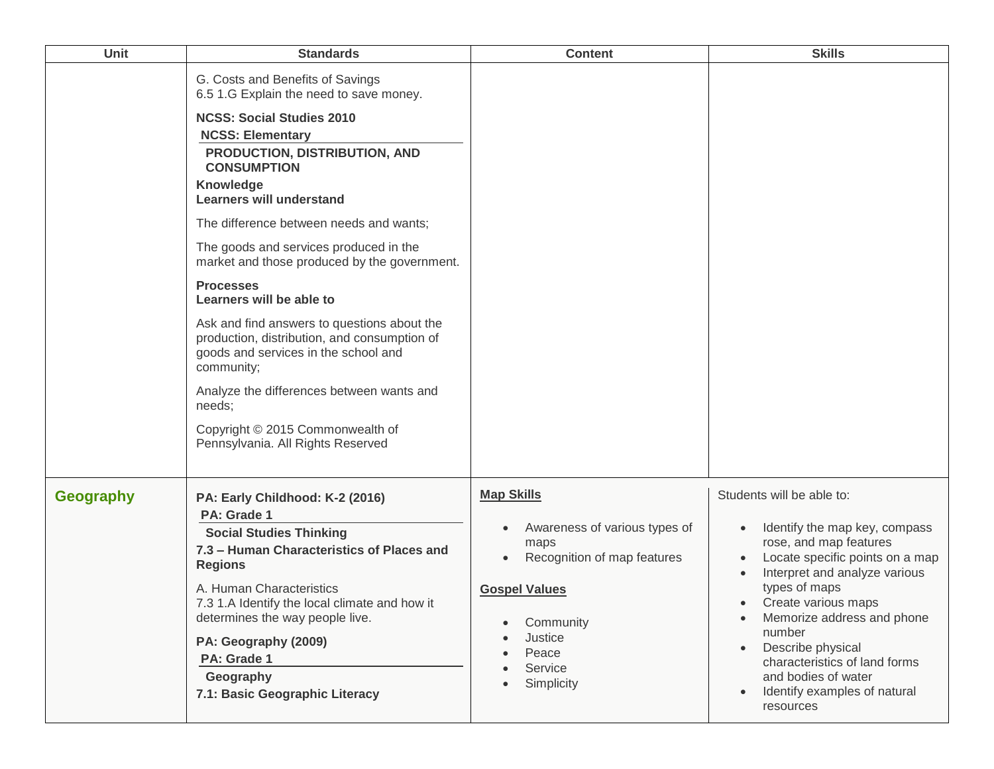| Unit             | <b>Standards</b>                                                                                                                                                                                                                                                                                                                                                                                                                                                                                                                                                                                                                                                                                                                   | <b>Content</b>                                                                                                                                                              | <b>Skills</b>                                                                                                                                                                                                                                                                                                                                                      |
|------------------|------------------------------------------------------------------------------------------------------------------------------------------------------------------------------------------------------------------------------------------------------------------------------------------------------------------------------------------------------------------------------------------------------------------------------------------------------------------------------------------------------------------------------------------------------------------------------------------------------------------------------------------------------------------------------------------------------------------------------------|-----------------------------------------------------------------------------------------------------------------------------------------------------------------------------|--------------------------------------------------------------------------------------------------------------------------------------------------------------------------------------------------------------------------------------------------------------------------------------------------------------------------------------------------------------------|
|                  | G. Costs and Benefits of Savings<br>6.5 1.G Explain the need to save money.<br><b>NCSS: Social Studies 2010</b><br><b>NCSS: Elementary</b><br>PRODUCTION, DISTRIBUTION, AND<br><b>CONSUMPTION</b><br><b>Knowledge</b><br><b>Learners will understand</b><br>The difference between needs and wants;<br>The goods and services produced in the<br>market and those produced by the government.<br><b>Processes</b><br>Learners will be able to<br>Ask and find answers to questions about the<br>production, distribution, and consumption of<br>goods and services in the school and<br>community;<br>Analyze the differences between wants and<br>needs;<br>Copyright © 2015 Commonwealth of<br>Pennsylvania. All Rights Reserved |                                                                                                                                                                             |                                                                                                                                                                                                                                                                                                                                                                    |
| <b>Geography</b> | PA: Early Childhood: K-2 (2016)<br>PA: Grade 1<br><b>Social Studies Thinking</b><br>7.3 - Human Characteristics of Places and<br><b>Regions</b><br>A. Human Characteristics<br>7.3 1.A Identify the local climate and how it<br>determines the way people live.<br>PA: Geography (2009)<br>PA: Grade 1<br>Geography<br>7.1: Basic Geographic Literacy                                                                                                                                                                                                                                                                                                                                                                              | <b>Map Skills</b><br>Awareness of various types of<br>maps<br>Recognition of map features<br><b>Gospel Values</b><br>Community<br>Justice<br>Peace<br>Service<br>Simplicity | Students will be able to:<br>Identify the map key, compass<br>rose, and map features<br>Locate specific points on a map<br>Interpret and analyze various<br>types of maps<br>Create various maps<br>Memorize address and phone<br>number<br>Describe physical<br>characteristics of land forms<br>and bodies of water<br>Identify examples of natural<br>resources |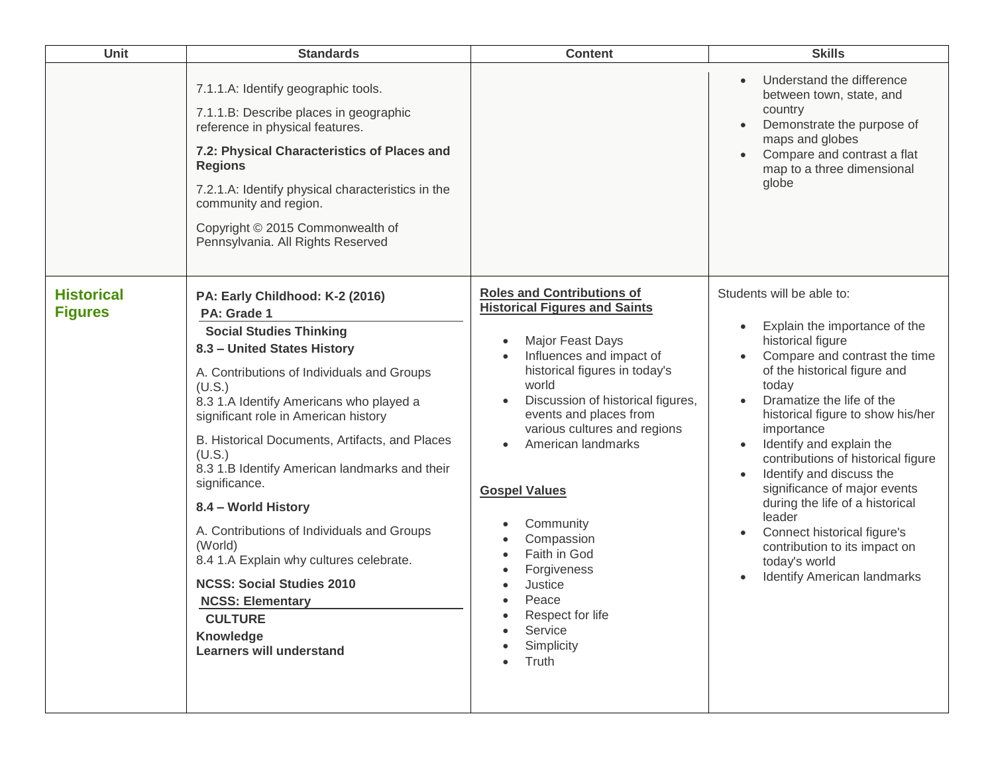| Unit                                | <b>Standards</b>                                                                                                                                                                                                                                                                                                                                                                                                                                                                                                                                                                                                                                     | <b>Content</b>                                                                                                                                                                                                                                                                                                                                                                                                                                                                                                        | <b>Skills</b>                                                                                                                                                                                                                                                                                                                                                                                                                                                                                                                                                                      |
|-------------------------------------|------------------------------------------------------------------------------------------------------------------------------------------------------------------------------------------------------------------------------------------------------------------------------------------------------------------------------------------------------------------------------------------------------------------------------------------------------------------------------------------------------------------------------------------------------------------------------------------------------------------------------------------------------|-----------------------------------------------------------------------------------------------------------------------------------------------------------------------------------------------------------------------------------------------------------------------------------------------------------------------------------------------------------------------------------------------------------------------------------------------------------------------------------------------------------------------|------------------------------------------------------------------------------------------------------------------------------------------------------------------------------------------------------------------------------------------------------------------------------------------------------------------------------------------------------------------------------------------------------------------------------------------------------------------------------------------------------------------------------------------------------------------------------------|
|                                     | 7.1.1.A: Identify geographic tools.<br>7.1.1.B: Describe places in geographic<br>reference in physical features.<br>7.2: Physical Characteristics of Places and<br><b>Regions</b><br>7.2.1.A: Identify physical characteristics in the<br>community and region.<br>Copyright © 2015 Commonwealth of<br>Pennsylvania. All Rights Reserved                                                                                                                                                                                                                                                                                                             |                                                                                                                                                                                                                                                                                                                                                                                                                                                                                                                       | Understand the difference<br>between town, state, and<br>country<br>Demonstrate the purpose of<br>maps and globes<br>Compare and contrast a flat<br>map to a three dimensional<br>globe                                                                                                                                                                                                                                                                                                                                                                                            |
| <b>Historical</b><br><b>Figures</b> | PA: Early Childhood: K-2 (2016)<br>PA: Grade 1<br><b>Social Studies Thinking</b><br>8.3 - United States History<br>A. Contributions of Individuals and Groups<br>(U.S.)<br>8.3 1.A Identify Americans who played a<br>significant role in American history<br>B. Historical Documents, Artifacts, and Places<br>(U.S.)<br>8.3 1.B Identify American landmarks and their<br>significance.<br>8.4 - World History<br>A. Contributions of Individuals and Groups<br>(World)<br>8.4 1.A Explain why cultures celebrate.<br><b>NCSS: Social Studies 2010</b><br><b>NCSS: Elementary</b><br><b>CULTURE</b><br>Knowledge<br><b>Learners will understand</b> | <b>Roles and Contributions of</b><br><b>Historical Figures and Saints</b><br>Major Feast Days<br>$\bullet$<br>Influences and impact of<br>$\bullet$<br>historical figures in today's<br>world<br>Discussion of historical figures,<br>$\bullet$<br>events and places from<br>various cultures and regions<br>American landmarks<br>$\bullet$<br><b>Gospel Values</b><br>Community<br>Compassion<br>Faith in God<br>$\bullet$<br>Forgiveness<br>Justice<br>Peace<br>Respect for life<br>Service<br>Simplicity<br>Truth | Students will be able to:<br>Explain the importance of the<br>historical figure<br>Compare and contrast the time<br>of the historical figure and<br>today<br>Dramatize the life of the<br>$\bullet$<br>historical figure to show his/her<br>importance<br>Identify and explain the<br>$\bullet$<br>contributions of historical figure<br>Identify and discuss the<br>$\bullet$<br>significance of major events<br>during the life of a historical<br>leader<br>Connect historical figure's<br>contribution to its impact on<br>today's world<br><b>Identify American landmarks</b> |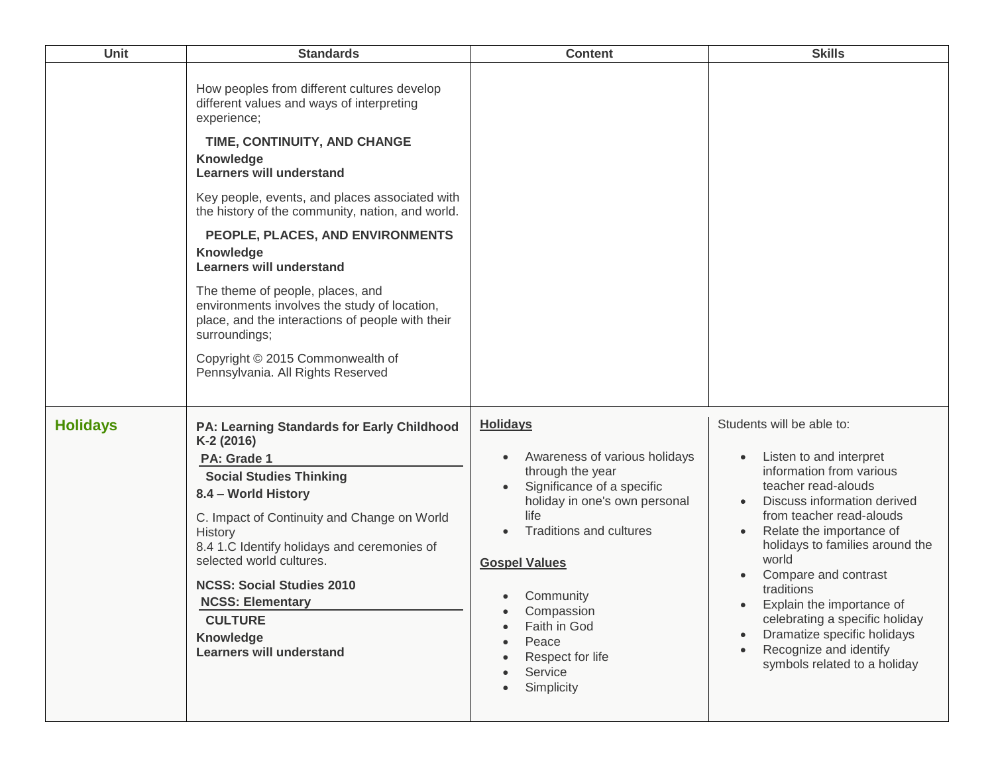| Unit            | <b>Standards</b>                                                                                                                                                                                                                                                                                                                                                                                                                                                                                                                                                                                                           | <b>Content</b>                                                                                                                                                                                                                                                                                               | <b>Skills</b>                                                                                                                                                                                                                                                                                                                                                                                                                            |
|-----------------|----------------------------------------------------------------------------------------------------------------------------------------------------------------------------------------------------------------------------------------------------------------------------------------------------------------------------------------------------------------------------------------------------------------------------------------------------------------------------------------------------------------------------------------------------------------------------------------------------------------------------|--------------------------------------------------------------------------------------------------------------------------------------------------------------------------------------------------------------------------------------------------------------------------------------------------------------|------------------------------------------------------------------------------------------------------------------------------------------------------------------------------------------------------------------------------------------------------------------------------------------------------------------------------------------------------------------------------------------------------------------------------------------|
|                 | How peoples from different cultures develop<br>different values and ways of interpreting<br>experience;<br>TIME, CONTINUITY, AND CHANGE<br>Knowledge<br><b>Learners will understand</b><br>Key people, events, and places associated with<br>the history of the community, nation, and world.<br>PEOPLE, PLACES, AND ENVIRONMENTS<br><b>Knowledge</b><br><b>Learners will understand</b><br>The theme of people, places, and<br>environments involves the study of location,<br>place, and the interactions of people with their<br>surroundings;<br>Copyright © 2015 Commonwealth of<br>Pennsylvania. All Rights Reserved |                                                                                                                                                                                                                                                                                                              |                                                                                                                                                                                                                                                                                                                                                                                                                                          |
| <b>Holidays</b> | <b>PA: Learning Standards for Early Childhood</b><br>K-2 (2016)<br>PA: Grade 1<br><b>Social Studies Thinking</b><br>8.4 - World History<br>C. Impact of Continuity and Change on World<br>History<br>8.4 1.C Identify holidays and ceremonies of<br>selected world cultures.<br><b>NCSS: Social Studies 2010</b><br><b>NCSS: Elementary</b><br><b>CULTURE</b><br>Knowledge<br><b>Learners will understand</b>                                                                                                                                                                                                              | <b>Holidays</b><br>Awareness of various holidays<br>$\bullet$<br>through the year<br>Significance of a specific<br>holiday in one's own personal<br>life<br>Traditions and cultures<br><b>Gospel Values</b><br>Community<br>Compassion<br>Faith in God<br>Peace<br>Respect for life<br>Service<br>Simplicity | Students will be able to:<br>Listen to and interpret<br>information from various<br>teacher read-alouds<br>Discuss information derived<br>from teacher read-alouds<br>Relate the importance of<br>holidays to families around the<br>world<br>Compare and contrast<br>traditions<br>Explain the importance of<br>celebrating a specific holiday<br>Dramatize specific holidays<br>Recognize and identify<br>symbols related to a holiday |